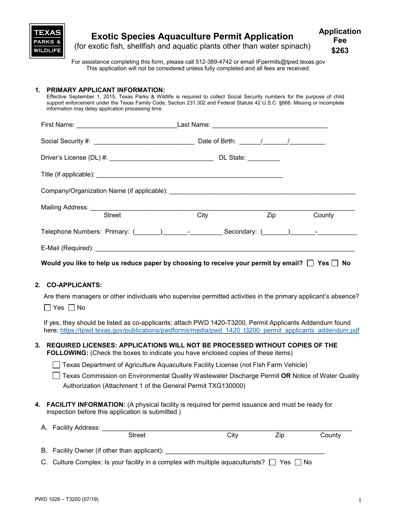

#### **Exotic Species Aquaculture Permit Application** (for exotic fish, shellfish and aquatic plants other than water spinach) **Application Fee**

For assistance completing this form, please call 512-389-4742 or email IFpermits@tpwd.texas.gov This application will not be considered unless fully completed and all fees are received.

## **1. PRIMARY APPLICANT INFORMATION:**

Effective September 1, 2015, Texas Parks & Wildlife is required to collect Social Security numbers for the purpose of child support enforcement under the Texas Family Code, Section 231.302 and Federal Statute 42 U.S.C. §666. Missing or incomplete information may delay application processing time.

| <b>Street</b>                                                                                                  | City | <b>Zip</b> and the set of the set of the set of the set of the set of the set of the set of the set of the set of the set of the set of the set of the set of the set of the set of the set of the set of the set of the set of the<br>County |  |  |  |
|----------------------------------------------------------------------------------------------------------------|------|-----------------------------------------------------------------------------------------------------------------------------------------------------------------------------------------------------------------------------------------------|--|--|--|
| Telephone Numbers: Primary: (Champion Communication Cecondary: (Champion Celephone Numbers: Primary: (Champion |      |                                                                                                                                                                                                                                               |  |  |  |
|                                                                                                                |      |                                                                                                                                                                                                                                               |  |  |  |
| Would you like to help us reduce paper by choosing to receive your permit by email? $\Box$ Yes $\Box$ No       |      |                                                                                                                                                                                                                                               |  |  |  |

## **2. CO-APPLICANTS:**

Are there managers or other individuals who supervise permitted activities in the primary applicant's absence?

 $\Box$  Yes  $\Box$  No

If yes, they should be listed as co-applicants; attach PWD 1420-T3200, Permit Applicants Addendum found here: https://tpwd.texas.gov/publications/pwdforms/media/pwd 1420 t3200 permit\_applicants\_addendum.pdf

## **3. REQUIRED LICENSES: APPLICATIONS WILL NOT BE PROCESSED WITHOUT COPIES OF THE FOLLOWING:** (Check the boxes to indicate you have enclosed copies of these items)

- Texas Department of Agriculture Aquaculture Facility License (not Fish Farm Vehicle)
- Texas Commission on Environmental Quality Wastewater Discharge Permit **OR** Notice of Water Quality Authorization (Attachment 1 of the General Permit TXG130000)
- **4. FACILITY INFORMATION:** (A physical facility is required for permit issuance and must be ready for inspection before this application is submitted.)

| A. Facility Address:                                                                                 |      |     |        |
|------------------------------------------------------------------------------------------------------|------|-----|--------|
| <b>Street</b>                                                                                        | City | Zip | County |
| B. Facility Owner (if other than applicant):                                                         |      |     |        |
| C. Culture Complex: Is your facility in a complex with multiple aquaculturists? $\Box$ Yes $\Box$ No |      |     |        |

**\$263**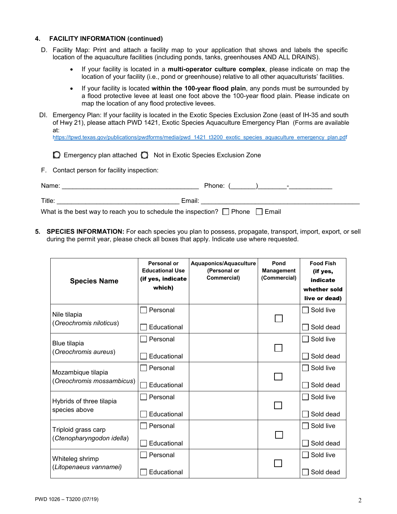## **4. FACILITY INFORMATION (continued)**

- D. Facility Map: Print and attach a facility map to your application that shows and labels the specific location of the aquaculture facilities (including ponds, tanks, greenhouses AND ALL DRAINS).
	- If your facility is located in a **multi-operator culture complex**, please indicate on map the location of your facility (i.e., pond or greenhouse) relative to all other aquaculturists' facilities.
	- If your facility is located **within the 100-year flood plain**, any ponds must be surrounded by a flood protective levee at least one foot above the 100-year flood plain. Please indicate on map the location of any flood protective levees.
- DI. Emergency Plan: If your facility is located in the Exotic Species Exclusion Zone (east of IH-35 and south of Hwy 21), please attach PWD 1421, Exotic Species Aquaculture Emergency Plan (Forms are available at: https://tpwd.texas.gov/publications/pwdforms/media/pwd\_1421\_t3200\_exotic\_species\_aquaculture\_emergency\_plan.pdf

|  |  |  | ◯ Emergency plan attached ◯ Not in Exotic Species Exclusion Zone |
|--|--|--|------------------------------------------------------------------|
|--|--|--|------------------------------------------------------------------|

F. Contact person for facility inspection:

| Name:                                                                             | Phone:<br>- |
|-----------------------------------------------------------------------------------|-------------|
| Title:                                                                            | Email:      |
| What is the best way to reach you to schedule the inspection? $\Box$ Phone $\Box$ | l Email     |

**5. SPECIES INFORMATION:** For each species you plan to possess, propagate, transport, import, export, or sell during the permit year, please check all boxes that apply. Indicate use where requested.

| <b>Species Name</b>                         | Personal or<br><b>Educational Use</b><br>(if yes, indicate<br>which) | Aquaponics/Aquaculture<br>(Personal or<br>Commercial) | Pond<br><b>Management</b><br>(Commercial) | <b>Food Fish</b><br>(if yes,<br>indicate<br>whether sold |
|---------------------------------------------|----------------------------------------------------------------------|-------------------------------------------------------|-------------------------------------------|----------------------------------------------------------|
|                                             |                                                                      |                                                       |                                           | live or dead)                                            |
| Nile tilapia                                | Personal                                                             |                                                       |                                           | Sold live                                                |
| (Oreochromis niloticus)                     | Educational                                                          |                                                       |                                           | Sold dead                                                |
| <b>Blue tilapia</b><br>(Oreochromis aureus) | Personal                                                             |                                                       |                                           | Sold live                                                |
|                                             | Educational                                                          |                                                       |                                           | Sold dead                                                |
| Mozambique tilapia                          | Personal                                                             |                                                       |                                           | Sold live                                                |
| (Oreochromis mossambicus)                   | Educational                                                          |                                                       |                                           | Sold dead                                                |
| Hybrids of three tilapia                    | Personal                                                             |                                                       |                                           | Sold live                                                |
| species above                               | Educational                                                          |                                                       |                                           | Sold dead                                                |
| Triploid grass carp                         | Personal                                                             |                                                       |                                           | Sold live                                                |
| (Ctenopharyngodon idella)                   | Educational                                                          |                                                       |                                           | Sold dead                                                |
| Whiteleg shrimp                             | Personal                                                             |                                                       |                                           | Sold live                                                |
| (Litopenaeus vannamei)                      | Educational                                                          |                                                       |                                           | Sold dead                                                |